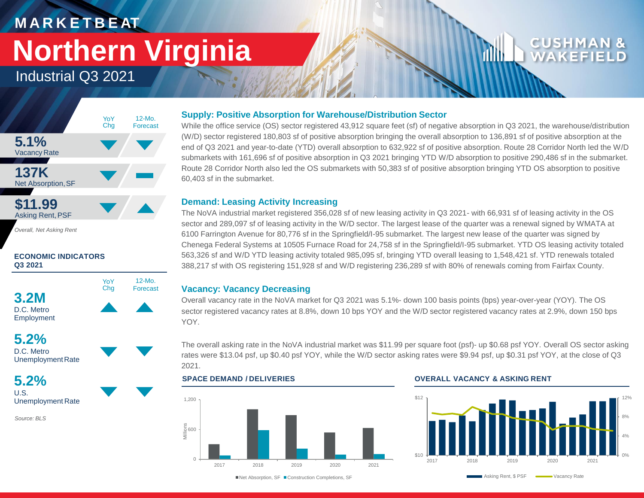# **M A R K E T B E AT Northern Virginia**

## Industrial Q3 2021



*Overall, Net Asking Rent*

### **ECONOMIC INDICATORS Q3 2021**



**5.2%** D.C. Metro Unemployment Rate

**5.2%** U.S. Unemployment Rate

*Source: BLS*

### **Supply: Positive Absorption for Warehouse/Distribution Sector**

While the office service (OS) sector registered 43,912 square feet (sf) of negative absorption in Q3 2021, the warehouse/distribution (W/D) sector registered 180,803 sf of positive absorption bringing the overall absorption to 136,891 sf of positive absorption at the end of Q3 2021 and year-to-date (YTD) overall absorption to 632,922 sf of positive absorption. Route 28 Corridor North led the W/D submarkets with 161,696 sf of positive absorption in Q3 2021 bringing YTD W/D absorption to positive 290,486 sf in the submarket. Route 28 Corridor North also led the OS submarkets with 50,383 sf of positive absorption bringing YTD OS absorption to positive 60,403 sf in the submarket.

### **Demand: Leasing Activity Increasing**

The NoVA industrial market registered 356,028 sf of new leasing activity in Q3 2021- with 66,931 sf of leasing activity in the OS sector and 289,097 sf of leasing activity in the W/D sector. The largest lease of the quarter was a renewal signed by WMATA at 6100 Farrington Avenue for 80,776 sf in the Springfield/I-95 submarket. The largest new lease of the quarter was signed by Chenega Federal Systems at 10505 Furnace Road for 24,758 sf in the Springfield/I-95 submarket. YTD OS leasing activity totaled 563,326 sf and W/D YTD leasing activity totaled 985,095 sf, bringing YTD overall leasing to 1,548,421 sf. YTD renewals totaled 388,217 sf with OS registering 151,928 sf and W/D registering 236,289 sf with 80% of renewals coming from Fairfax County.

### **Vacancy: Vacancy Decreasing**

Overall vacancy rate in the NoVA market for Q3 2021 was 5.1%- down 100 basis points (bps) year-over-year (YOY). The OS sector registered vacancy rates at 8.8%, down 10 bps YOY and the W/D sector registered vacancy rates at 2.9%, down 150 bps YOY.

The overall asking rate in the NoVA industrial market was \$11.99 per square foot (psf)- up \$0.68 psf YOY. Overall OS sector asking rates were \$13.04 psf, up \$0.40 psf YOY, while the W/D sector asking rates were \$9.94 psf, up \$0.31 psf YOY, at the close of Q3 2021.

## $\cap$ 600<br>Milli⊜<br>Milli 1,200 2017 2018 2019 2020 2021

### **SPACE DEMAND / DELIVERIES OVERALL VACANCY & ASKING RENT**



■Net Absorption, SF ■ Construction Completions, SF